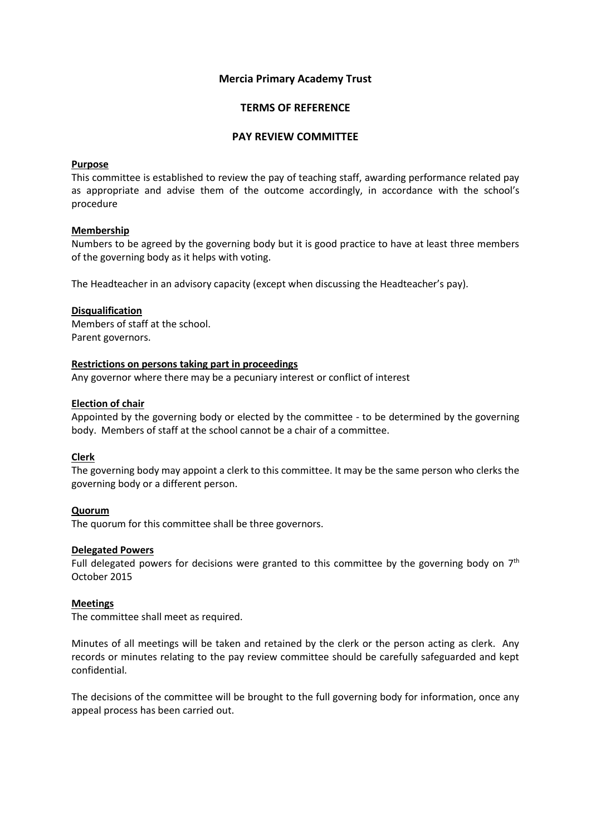# **Mercia Primary Academy Trust**

# **TERMS OF REFERENCE**

# **PAY REVIEW COMMITTEE**

# **Purpose**

This committee is established to review the pay of teaching staff, awarding performance related pay as appropriate and advise them of the outcome accordingly, in accordance with the school's procedure

# **Membership**

Numbers to be agreed by the governing body but it is good practice to have at least three members of the governing body as it helps with voting.

The Headteacher in an advisory capacity (except when discussing the Headteacher's pay).

# **Disqualification**

Members of staff at the school. Parent governors.

### **Restrictions on persons taking part in proceedings**

Any governor where there may be a pecuniary interest or conflict of interest

### **Election of chair**

Appointed by the governing body or elected by the committee - to be determined by the governing body. Members of staff at the school cannot be a chair of a committee.

# **Clerk**

The governing body may appoint a clerk to this committee. It may be the same person who clerks the governing body or a different person.

# **Quorum**

The quorum for this committee shall be three governors.

#### **Delegated Powers**

Full delegated powers for decisions were granted to this committee by the governing body on  $7<sup>th</sup>$ October 2015

#### **Meetings**

The committee shall meet as required.

Minutes of all meetings will be taken and retained by the clerk or the person acting as clerk. Any records or minutes relating to the pay review committee should be carefully safeguarded and kept confidential.

The decisions of the committee will be brought to the full governing body for information, once any appeal process has been carried out.